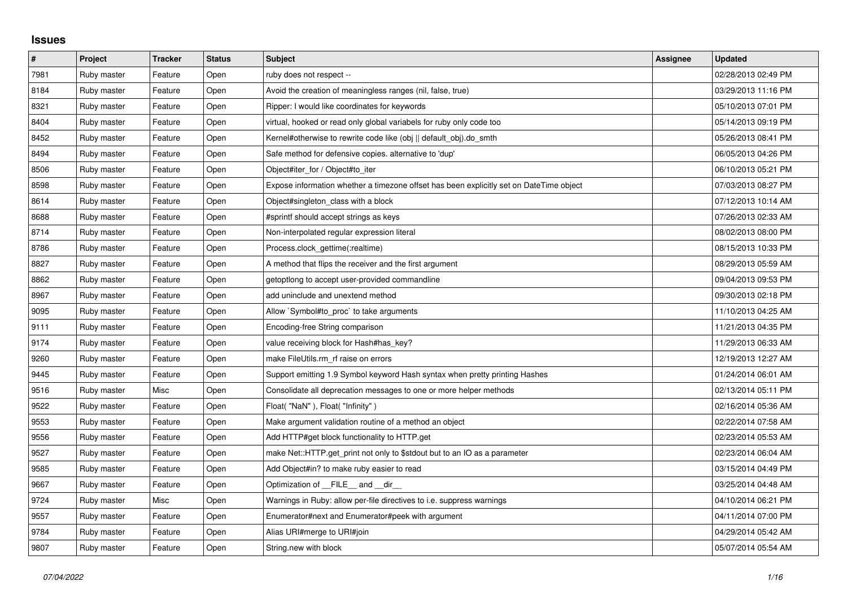## **Issues**

| #    | Project     | <b>Tracker</b> | <b>Status</b> | <b>Subject</b>                                                                          | Assignee | <b>Updated</b>      |
|------|-------------|----------------|---------------|-----------------------------------------------------------------------------------------|----------|---------------------|
| 7981 | Ruby master | Feature        | Open          | ruby does not respect --                                                                |          | 02/28/2013 02:49 PM |
| 8184 | Ruby master | Feature        | Open          | Avoid the creation of meaningless ranges (nil, false, true)                             |          | 03/29/2013 11:16 PM |
| 8321 | Ruby master | Feature        | Open          | Ripper: I would like coordinates for keywords                                           |          | 05/10/2013 07:01 PM |
| 8404 | Ruby master | Feature        | Open          | virtual, hooked or read only global variabels for ruby only code too                    |          | 05/14/2013 09:19 PM |
| 8452 | Ruby master | Feature        | Open          | Kernel#otherwise to rewrite code like (obj    default obj).do smth                      |          | 05/26/2013 08:41 PM |
| 8494 | Ruby master | Feature        | Open          | Safe method for defensive copies. alternative to 'dup'                                  |          | 06/05/2013 04:26 PM |
| 8506 | Ruby master | Feature        | Open          | Object#iter_for / Object#to_iter                                                        |          | 06/10/2013 05:21 PM |
| 8598 | Ruby master | Feature        | Open          | Expose information whether a timezone offset has been explicitly set on DateTime object |          | 07/03/2013 08:27 PM |
| 8614 | Ruby master | Feature        | Open          | Object#singleton class with a block                                                     |          | 07/12/2013 10:14 AM |
| 8688 | Ruby master | Feature        | Open          | #sprintf should accept strings as keys                                                  |          | 07/26/2013 02:33 AM |
| 8714 | Ruby master | Feature        | Open          | Non-interpolated regular expression literal                                             |          | 08/02/2013 08:00 PM |
| 8786 | Ruby master | Feature        | Open          | Process.clock_gettime(:realtime)                                                        |          | 08/15/2013 10:33 PM |
| 8827 | Ruby master | Feature        | Open          | A method that flips the receiver and the first argument                                 |          | 08/29/2013 05:59 AM |
| 8862 | Ruby master | Feature        | Open          | getoptlong to accept user-provided commandline                                          |          | 09/04/2013 09:53 PM |
| 8967 | Ruby master | Feature        | Open          | add uninclude and unextend method                                                       |          | 09/30/2013 02:18 PM |
| 9095 | Ruby master | Feature        | Open          | Allow `Symbol#to_proc` to take arguments                                                |          | 11/10/2013 04:25 AM |
| 9111 | Ruby master | Feature        | Open          | Encoding-free String comparison                                                         |          | 11/21/2013 04:35 PM |
| 9174 | Ruby master | Feature        | Open          | value receiving block for Hash#has_key?                                                 |          | 11/29/2013 06:33 AM |
| 9260 | Ruby master | Feature        | Open          | make FileUtils.rm rf raise on errors                                                    |          | 12/19/2013 12:27 AM |
| 9445 | Ruby master | Feature        | Open          | Support emitting 1.9 Symbol keyword Hash syntax when pretty printing Hashes             |          | 01/24/2014 06:01 AM |
| 9516 | Ruby master | Misc           | Open          | Consolidate all deprecation messages to one or more helper methods                      |          | 02/13/2014 05:11 PM |
| 9522 | Ruby master | Feature        | Open          | Float("NaN"), Float("Infinity")                                                         |          | 02/16/2014 05:36 AM |
| 9553 | Ruby master | Feature        | Open          | Make argument validation routine of a method an object                                  |          | 02/22/2014 07:58 AM |
| 9556 | Ruby master | Feature        | Open          | Add HTTP#get block functionality to HTTP.get                                            |          | 02/23/2014 05:53 AM |
| 9527 | Ruby master | Feature        | Open          | make Net::HTTP.get print not only to \$stdout but to an IO as a parameter               |          | 02/23/2014 06:04 AM |
| 9585 | Ruby master | Feature        | Open          | Add Object#in? to make ruby easier to read                                              |          | 03/15/2014 04:49 PM |
| 9667 | Ruby master | Feature        | Open          | Optimization of FILE_and _dir_                                                          |          | 03/25/2014 04:48 AM |
| 9724 | Ruby master | Misc           | Open          | Warnings in Ruby: allow per-file directives to i.e. suppress warnings                   |          | 04/10/2014 06:21 PM |
| 9557 | Ruby master | Feature        | Open          | Enumerator#next and Enumerator#peek with argument                                       |          | 04/11/2014 07:00 PM |
| 9784 | Ruby master | Feature        | Open          | Alias URI#merge to URI#join                                                             |          | 04/29/2014 05:42 AM |
| 9807 | Ruby master | Feature        | Open          | String.new with block                                                                   |          | 05/07/2014 05:54 AM |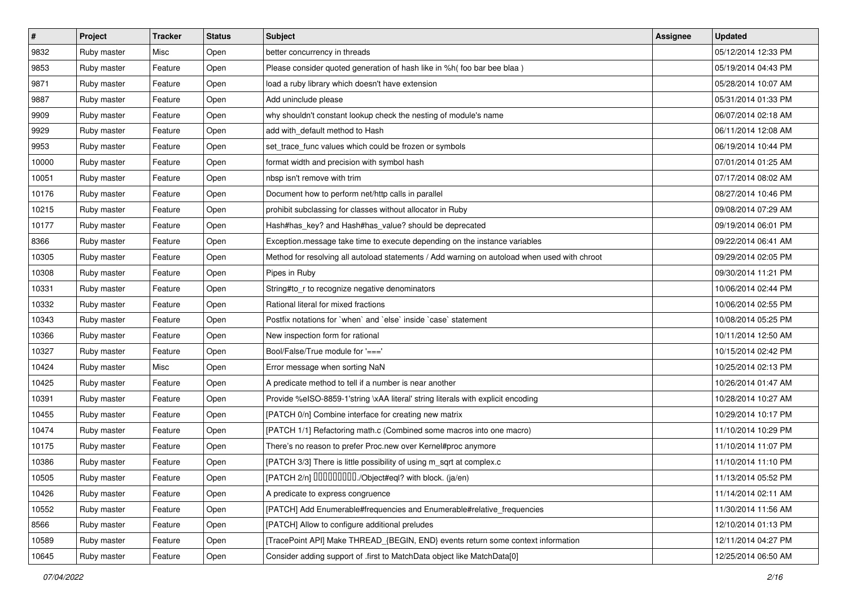| $\vert$ # | Project     | <b>Tracker</b> | <b>Status</b> | Subject                                                                                      | Assignee | <b>Updated</b>      |
|-----------|-------------|----------------|---------------|----------------------------------------------------------------------------------------------|----------|---------------------|
| 9832      | Ruby master | Misc           | Open          | better concurrency in threads                                                                |          | 05/12/2014 12:33 PM |
| 9853      | Ruby master | Feature        | Open          | Please consider quoted generation of hash like in %h( foo bar bee blaa)                      |          | 05/19/2014 04:43 PM |
| 9871      | Ruby master | Feature        | Open          | load a ruby library which doesn't have extension                                             |          | 05/28/2014 10:07 AM |
| 9887      | Ruby master | Feature        | Open          | Add uninclude please                                                                         |          | 05/31/2014 01:33 PM |
| 9909      | Ruby master | Feature        | Open          | why shouldn't constant lookup check the nesting of module's name                             |          | 06/07/2014 02:18 AM |
| 9929      | Ruby master | Feature        | Open          | add with default method to Hash                                                              |          | 06/11/2014 12:08 AM |
| 9953      | Ruby master | Feature        | Open          | set_trace_func values which could be frozen or symbols                                       |          | 06/19/2014 10:44 PM |
| 10000     | Ruby master | Feature        | Open          | format width and precision with symbol hash                                                  |          | 07/01/2014 01:25 AM |
| 10051     | Ruby master | Feature        | Open          | nbsp isn't remove with trim                                                                  |          | 07/17/2014 08:02 AM |
| 10176     | Ruby master | Feature        | Open          | Document how to perform net/http calls in parallel                                           |          | 08/27/2014 10:46 PM |
| 10215     | Ruby master | Feature        | Open          | prohibit subclassing for classes without allocator in Ruby                                   |          | 09/08/2014 07:29 AM |
| 10177     | Ruby master | Feature        | Open          | Hash#has_key? and Hash#has_value? should be deprecated                                       |          | 09/19/2014 06:01 PM |
| 8366      | Ruby master | Feature        | Open          | Exception.message take time to execute depending on the instance variables                   |          | 09/22/2014 06:41 AM |
| 10305     | Ruby master | Feature        | Open          | Method for resolving all autoload statements / Add warning on autoload when used with chroot |          | 09/29/2014 02:05 PM |
| 10308     | Ruby master | Feature        | Open          | Pipes in Ruby                                                                                |          | 09/30/2014 11:21 PM |
| 10331     | Ruby master | Feature        | Open          | String#to_r to recognize negative denominators                                               |          | 10/06/2014 02:44 PM |
| 10332     | Ruby master | Feature        | Open          | Rational literal for mixed fractions                                                         |          | 10/06/2014 02:55 PM |
| 10343     | Ruby master | Feature        | Open          | Postfix notations for 'when' and 'else' inside 'case' statement                              |          | 10/08/2014 05:25 PM |
| 10366     | Ruby master | Feature        | Open          | New inspection form for rational                                                             |          | 10/11/2014 12:50 AM |
| 10327     | Ruby master | Feature        | Open          | Bool/False/True module for '==='                                                             |          | 10/15/2014 02:42 PM |
| 10424     | Ruby master | Misc           | Open          | Error message when sorting NaN                                                               |          | 10/25/2014 02:13 PM |
| 10425     | Ruby master | Feature        | Open          | A predicate method to tell if a number is near another                                       |          | 10/26/2014 01:47 AM |
| 10391     | Ruby master | Feature        | Open          | Provide %eISO-8859-1'string \xAA literal' string literals with explicit encoding             |          | 10/28/2014 10:27 AM |
| 10455     | Ruby master | Feature        | Open          | [PATCH 0/n] Combine interface for creating new matrix                                        |          | 10/29/2014 10:17 PM |
| 10474     | Ruby master | Feature        | Open          | [PATCH 1/1] Refactoring math.c (Combined some macros into one macro)                         |          | 11/10/2014 10:29 PM |
| 10175     | Ruby master | Feature        | Open          | There's no reason to prefer Proc.new over Kernel#proc anymore                                |          | 11/10/2014 11:07 PM |
| 10386     | Ruby master | Feature        | Open          | [PATCH 3/3] There is little possibility of using m_sqrt at complex.c                         |          | 11/10/2014 11:10 PM |
| 10505     | Ruby master | Feature        | Open          | [PATCH 2/n] DDDDDDDD./Object#eql? with block. (ja/en)                                        |          | 11/13/2014 05:52 PM |
| 10426     | Ruby master | Feature        | Open          | A predicate to express congruence                                                            |          | 11/14/2014 02:11 AM |
| 10552     | Ruby master | Feature        | Open          | [PATCH] Add Enumerable#frequencies and Enumerable#relative_frequencies                       |          | 11/30/2014 11:56 AM |
| 8566      | Ruby master | Feature        | Open          | [PATCH] Allow to configure additional preludes                                               |          | 12/10/2014 01:13 PM |
| 10589     | Ruby master | Feature        | Open          | [TracePoint API] Make THREAD_{BEGIN, END} events return some context information             |          | 12/11/2014 04:27 PM |
| 10645     | Ruby master | Feature        | Open          | Consider adding support of .first to MatchData object like MatchData[0]                      |          | 12/25/2014 06:50 AM |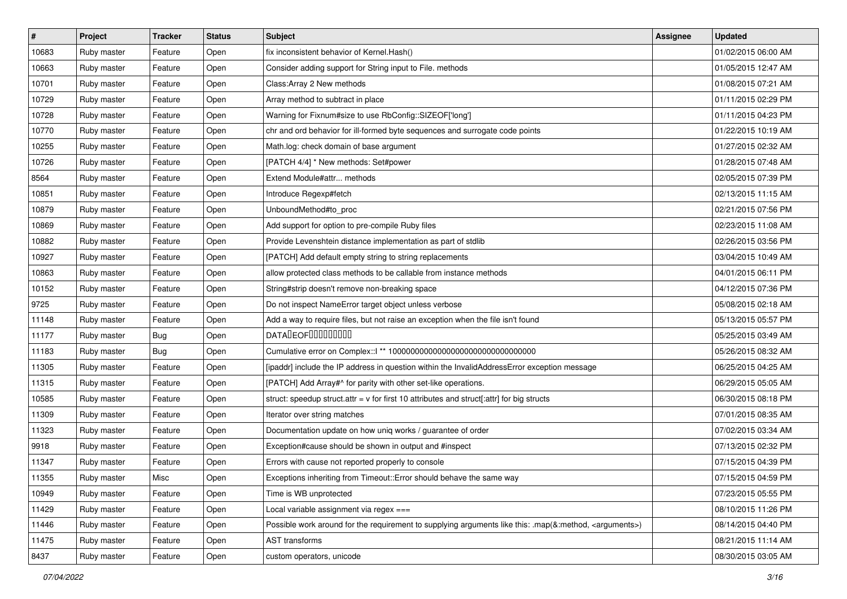| $\vert$ # | Project     | <b>Tracker</b> | <b>Status</b> | <b>Subject</b>                                                                                                     | Assignee | <b>Updated</b>      |
|-----------|-------------|----------------|---------------|--------------------------------------------------------------------------------------------------------------------|----------|---------------------|
| 10683     | Ruby master | Feature        | Open          | fix inconsistent behavior of Kernel. Hash()                                                                        |          | 01/02/2015 06:00 AM |
| 10663     | Ruby master | Feature        | Open          | Consider adding support for String input to File. methods                                                          |          | 01/05/2015 12:47 AM |
| 10701     | Ruby master | Feature        | Open          | Class: Array 2 New methods                                                                                         |          | 01/08/2015 07:21 AM |
| 10729     | Ruby master | Feature        | Open          | Array method to subtract in place                                                                                  |          | 01/11/2015 02:29 PM |
| 10728     | Ruby master | Feature        | Open          | Warning for Fixnum#size to use RbConfig::SIZEOF['long']                                                            |          | 01/11/2015 04:23 PM |
| 10770     | Ruby master | Feature        | Open          | chr and ord behavior for ill-formed byte sequences and surrogate code points                                       |          | 01/22/2015 10:19 AM |
| 10255     | Ruby master | Feature        | Open          | Math.log: check domain of base argument                                                                            |          | 01/27/2015 02:32 AM |
| 10726     | Ruby master | Feature        | Open          | [PATCH 4/4] * New methods: Set#power                                                                               |          | 01/28/2015 07:48 AM |
| 8564      | Ruby master | Feature        | Open          | Extend Module#attr methods                                                                                         |          | 02/05/2015 07:39 PM |
| 10851     | Ruby master | Feature        | Open          | Introduce Regexp#fetch                                                                                             |          | 02/13/2015 11:15 AM |
| 10879     | Ruby master | Feature        | Open          | UnboundMethod#to_proc                                                                                              |          | 02/21/2015 07:56 PM |
| 10869     | Ruby master | Feature        | Open          | Add support for option to pre-compile Ruby files                                                                   |          | 02/23/2015 11:08 AM |
| 10882     | Ruby master | Feature        | Open          | Provide Levenshtein distance implementation as part of stdlib                                                      |          | 02/26/2015 03:56 PM |
| 10927     | Ruby master | Feature        | Open          | [PATCH] Add default empty string to string replacements                                                            |          | 03/04/2015 10:49 AM |
| 10863     | Ruby master | Feature        | Open          | allow protected class methods to be callable from instance methods                                                 |          | 04/01/2015 06:11 PM |
| 10152     | Ruby master | Feature        | Open          | String#strip doesn't remove non-breaking space                                                                     |          | 04/12/2015 07:36 PM |
| 9725      | Ruby master | Feature        | Open          | Do not inspect NameError target object unless verbose                                                              |          | 05/08/2015 02:18 AM |
| 11148     | Ruby master | Feature        | Open          | Add a way to require files, but not raise an exception when the file isn't found                                   |          | 05/13/2015 05:57 PM |
| 11177     | Ruby master | Bug            | Open          | <b>DATALEOFILILILILILI</b>                                                                                         |          | 05/25/2015 03:49 AM |
| 11183     | Ruby master | Bug            | Open          | Cumulative error on Complex::   ** 100000000000000000000000000000000                                               |          | 05/26/2015 08:32 AM |
| 11305     | Ruby master | Feature        | Open          | [ipaddr] include the IP address in question within the InvalidAddressError exception message                       |          | 06/25/2015 04:25 AM |
| 11315     | Ruby master | Feature        | Open          | [PATCH] Add Array#^ for parity with other set-like operations.                                                     |          | 06/29/2015 05:05 AM |
| 10585     | Ruby master | Feature        | Open          | struct: speedup struct.attr = $v$ for first 10 attributes and struct[:attr] for big structs                        |          | 06/30/2015 08:18 PM |
| 11309     | Ruby master | Feature        | Open          | Iterator over string matches                                                                                       |          | 07/01/2015 08:35 AM |
| 11323     | Ruby master | Feature        | Open          | Documentation update on how uniq works / guarantee of order                                                        |          | 07/02/2015 03:34 AM |
| 9918      | Ruby master | Feature        | Open          | Exception#cause should be shown in output and #inspect                                                             |          | 07/13/2015 02:32 PM |
| 11347     | Ruby master | Feature        | Open          | Errors with cause not reported properly to console                                                                 |          | 07/15/2015 04:39 PM |
| 11355     | Ruby master | Misc           | Open          | Exceptions inheriting from Timeout:: Error should behave the same way                                              |          | 07/15/2015 04:59 PM |
| 10949     | Ruby master | Feature        | Open          | Time is WB unprotected                                                                                             |          | 07/23/2015 05:55 PM |
| 11429     | Ruby master | Feature        | Open          | Local variable assignment via regex ===                                                                            |          | 08/10/2015 11:26 PM |
| 11446     | Ruby master | Feature        | Open          | Possible work around for the requirement to supplying arguments like this: .map(&:method, <arguments>)</arguments> |          | 08/14/2015 04:40 PM |
| 11475     | Ruby master | Feature        | Open          | AST transforms                                                                                                     |          | 08/21/2015 11:14 AM |
| 8437      | Ruby master | Feature        | Open          | custom operators, unicode                                                                                          |          | 08/30/2015 03:05 AM |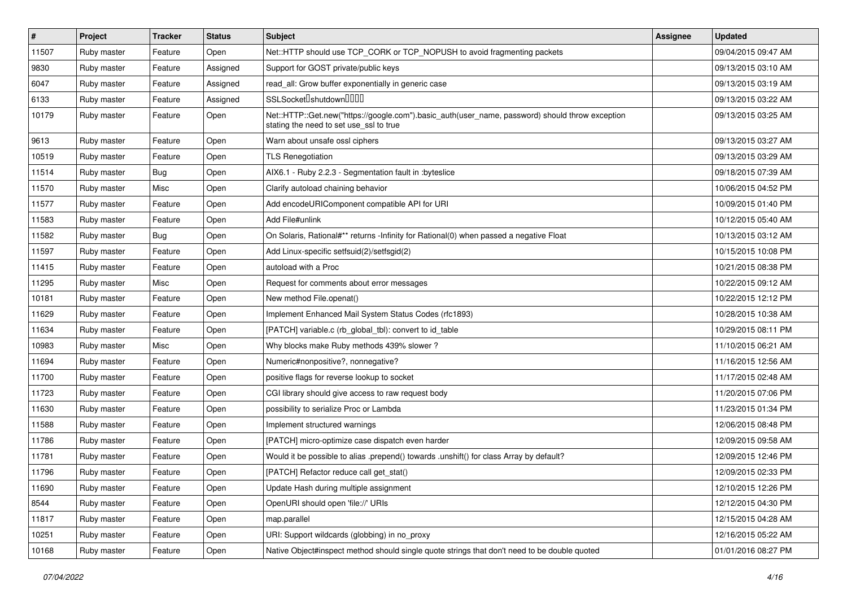| $\vert$ # | Project     | <b>Tracker</b> | <b>Status</b> | <b>Subject</b>                                                                                                                             | <b>Assignee</b> | <b>Updated</b>      |
|-----------|-------------|----------------|---------------|--------------------------------------------------------------------------------------------------------------------------------------------|-----------------|---------------------|
| 11507     | Ruby master | Feature        | Open          | Net::HTTP should use TCP CORK or TCP NOPUSH to avoid fragmenting packets                                                                   |                 | 09/04/2015 09:47 AM |
| 9830      | Ruby master | Feature        | Assigned      | Support for GOST private/public keys                                                                                                       |                 | 09/13/2015 03:10 AM |
| 6047      | Ruby master | Feature        | Assigned      | read_all: Grow buffer exponentially in generic case                                                                                        |                 | 09/13/2015 03:19 AM |
| 6133      | Ruby master | Feature        | Assigned      | SSLSocket <sup>[</sup> shutdown <sup>[11]</sup>                                                                                            |                 | 09/13/2015 03:22 AM |
| 10179     | Ruby master | Feature        | Open          | Net::HTTP::Get.new("https://google.com").basic_auth(user_name, password) should throw exception<br>stating the need to set use_ssl to true |                 | 09/13/2015 03:25 AM |
| 9613      | Ruby master | Feature        | Open          | Warn about unsafe ossl ciphers                                                                                                             |                 | 09/13/2015 03:27 AM |
| 10519     | Ruby master | Feature        | Open          | <b>TLS Renegotiation</b>                                                                                                                   |                 | 09/13/2015 03:29 AM |
| 11514     | Ruby master | <b>Bug</b>     | Open          | AIX6.1 - Ruby 2.2.3 - Segmentation fault in :byteslice                                                                                     |                 | 09/18/2015 07:39 AM |
| 11570     | Ruby master | Misc           | Open          | Clarify autoload chaining behavior                                                                                                         |                 | 10/06/2015 04:52 PM |
| 11577     | Ruby master | Feature        | Open          | Add encodeURIComponent compatible API for URI                                                                                              |                 | 10/09/2015 01:40 PM |
| 11583     | Ruby master | Feature        | Open          | Add File#unlink                                                                                                                            |                 | 10/12/2015 05:40 AM |
| 11582     | Ruby master | Bug            | Open          | On Solaris, Rational#** returns -Infinity for Rational(0) when passed a negative Float                                                     |                 | 10/13/2015 03:12 AM |
| 11597     | Ruby master | Feature        | Open          | Add Linux-specific setfsuid(2)/setfsgid(2)                                                                                                 |                 | 10/15/2015 10:08 PM |
| 11415     | Ruby master | Feature        | Open          | autoload with a Proc                                                                                                                       |                 | 10/21/2015 08:38 PM |
| 11295     | Ruby master | Misc           | Open          | Request for comments about error messages                                                                                                  |                 | 10/22/2015 09:12 AM |
| 10181     | Ruby master | Feature        | Open          | New method File.openat()                                                                                                                   |                 | 10/22/2015 12:12 PM |
| 11629     | Ruby master | Feature        | Open          | Implement Enhanced Mail System Status Codes (rfc1893)                                                                                      |                 | 10/28/2015 10:38 AM |
| 11634     | Ruby master | Feature        | Open          | [PATCH] variable.c (rb_global_tbl): convert to id_table                                                                                    |                 | 10/29/2015 08:11 PM |
| 10983     | Ruby master | Misc           | Open          | Why blocks make Ruby methods 439% slower?                                                                                                  |                 | 11/10/2015 06:21 AM |
| 11694     | Ruby master | Feature        | Open          | Numeric#nonpositive?, nonnegative?                                                                                                         |                 | 11/16/2015 12:56 AM |
| 11700     | Ruby master | Feature        | Open          | positive flags for reverse lookup to socket                                                                                                |                 | 11/17/2015 02:48 AM |
| 11723     | Ruby master | Feature        | Open          | CGI library should give access to raw request body                                                                                         |                 | 11/20/2015 07:06 PM |
| 11630     | Ruby master | Feature        | Open          | possibility to serialize Proc or Lambda                                                                                                    |                 | 11/23/2015 01:34 PM |
| 11588     | Ruby master | Feature        | Open          | Implement structured warnings                                                                                                              |                 | 12/06/2015 08:48 PM |
| 11786     | Ruby master | Feature        | Open          | [PATCH] micro-optimize case dispatch even harder                                                                                           |                 | 12/09/2015 09:58 AM |
| 11781     | Ruby master | Feature        | Open          | Would it be possible to alias .prepend() towards .unshift() for class Array by default?                                                    |                 | 12/09/2015 12:46 PM |
| 11796     | Ruby master | Feature        | Open          | [PATCH] Refactor reduce call get_stat()                                                                                                    |                 | 12/09/2015 02:33 PM |
| 11690     | Ruby master | Feature        | Open          | Update Hash during multiple assignment                                                                                                     |                 | 12/10/2015 12:26 PM |
| 8544      | Ruby master | Feature        | Open          | OpenURI should open 'file://' URIs                                                                                                         |                 | 12/12/2015 04:30 PM |
| 11817     | Ruby master | Feature        | Open          | map.parallel                                                                                                                               |                 | 12/15/2015 04:28 AM |
| 10251     | Ruby master | Feature        | Open          | URI: Support wildcards (globbing) in no_proxy                                                                                              |                 | 12/16/2015 05:22 AM |
| 10168     | Ruby master | Feature        | Open          | Native Object#inspect method should single quote strings that don't need to be double quoted                                               |                 | 01/01/2016 08:27 PM |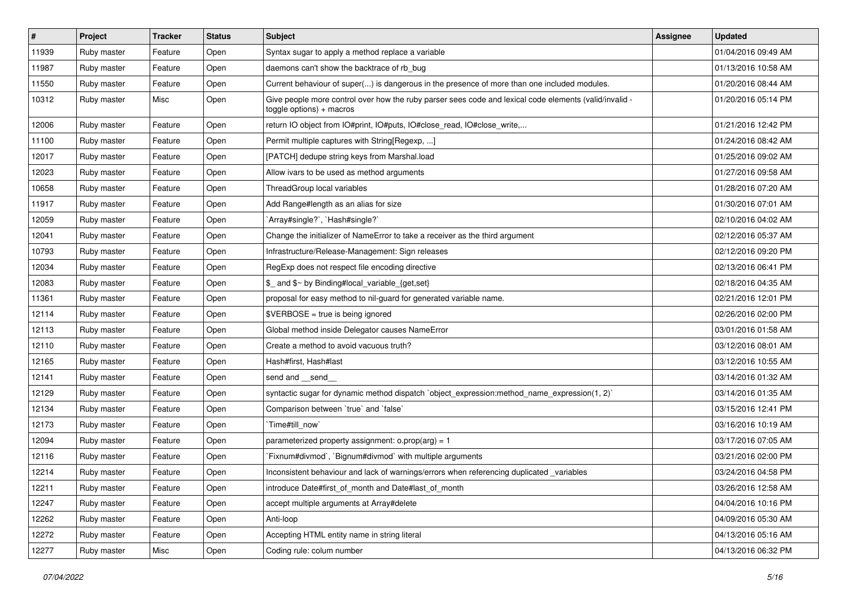| $\vert$ # | Project     | <b>Tracker</b> | <b>Status</b> | Subject                                                                                                                            | Assignee | <b>Updated</b>      |
|-----------|-------------|----------------|---------------|------------------------------------------------------------------------------------------------------------------------------------|----------|---------------------|
| 11939     | Ruby master | Feature        | Open          | Syntax sugar to apply a method replace a variable                                                                                  |          | 01/04/2016 09:49 AM |
| 11987     | Ruby master | Feature        | Open          | daemons can't show the backtrace of rb_bug                                                                                         |          | 01/13/2016 10:58 AM |
| 11550     | Ruby master | Feature        | Open          | Current behaviour of super() is dangerous in the presence of more than one included modules.                                       |          | 01/20/2016 08:44 AM |
| 10312     | Ruby master | Misc           | Open          | - Give people more control over how the ruby parser sees code and lexical code elements (valid/invalid<br>toggle options) + macros |          | 01/20/2016 05:14 PM |
| 12006     | Ruby master | Feature        | Open          | return IO object from IO#print, IO#puts, IO#close read, IO#close write,                                                            |          | 01/21/2016 12:42 PM |
| 11100     | Ruby master | Feature        | Open          | Permit multiple captures with String[Regexp, ]                                                                                     |          | 01/24/2016 08:42 AM |
| 12017     | Ruby master | Feature        | Open          | [PATCH] dedupe string keys from Marshal.load                                                                                       |          | 01/25/2016 09:02 AM |
| 12023     | Ruby master | Feature        | Open          | Allow ivars to be used as method arguments                                                                                         |          | 01/27/2016 09:58 AM |
| 10658     | Ruby master | Feature        | Open          | ThreadGroup local variables                                                                                                        |          | 01/28/2016 07:20 AM |
| 11917     | Ruby master | Feature        | Open          | Add Range#length as an alias for size                                                                                              |          | 01/30/2016 07:01 AM |
| 12059     | Ruby master | Feature        | Open          | `Array#single?`, `Hash#single?`                                                                                                    |          | 02/10/2016 04:02 AM |
| 12041     | Ruby master | Feature        | Open          | Change the initializer of NameError to take a receiver as the third argument                                                       |          | 02/12/2016 05:37 AM |
| 10793     | Ruby master | Feature        | Open          | Infrastructure/Release-Management: Sign releases                                                                                   |          | 02/12/2016 09:20 PM |
| 12034     | Ruby master | Feature        | Open          | RegExp does not respect file encoding directive                                                                                    |          | 02/13/2016 06:41 PM |
| 12083     | Ruby master | Feature        | Open          | \$_ and \$~ by Binding#local_variable_{get,set}                                                                                    |          | 02/18/2016 04:35 AM |
| 11361     | Ruby master | Feature        | Open          | proposal for easy method to nil-guard for generated variable name.                                                                 |          | 02/21/2016 12:01 PM |
| 12114     | Ruby master | Feature        | Open          | $$VERBOSE = true is being ignored$                                                                                                 |          | 02/26/2016 02:00 PM |
| 12113     | Ruby master | Feature        | Open          | Global method inside Delegator causes NameError                                                                                    |          | 03/01/2016 01:58 AM |
| 12110     | Ruby master | Feature        | Open          | Create a method to avoid vacuous truth?                                                                                            |          | 03/12/2016 08:01 AM |
| 12165     | Ruby master | Feature        | Open          | Hash#first, Hash#last                                                                                                              |          | 03/12/2016 10:55 AM |
| 12141     | Ruby master | Feature        | Open          | send and send                                                                                                                      |          | 03/14/2016 01:32 AM |
| 12129     | Ruby master | Feature        | Open          | syntactic sugar for dynamic method dispatch `object_expression:method_name_expression(1, 2)`                                       |          | 03/14/2016 01:35 AM |
| 12134     | Ruby master | Feature        | Open          | Comparison between 'true' and 'false'                                                                                              |          | 03/15/2016 12:41 PM |
| 12173     | Ruby master | Feature        | Open          | Time#till_now`                                                                                                                     |          | 03/16/2016 10:19 AM |
| 12094     | Ruby master | Feature        | Open          | parameterized property assignment: $o.prop(arg) = 1$                                                                               |          | 03/17/2016 07:05 AM |
| 12116     | Ruby master | Feature        | Open          | Fixnum#divmod`, `Bignum#divmod` with multiple arguments                                                                            |          | 03/21/2016 02:00 PM |
| 12214     | Ruby master | Feature        | Open          | Inconsistent behaviour and lack of warnings/errors when referencing duplicated _variables                                          |          | 03/24/2016 04:58 PM |
| 12211     | Ruby master | Feature        | Open          | introduce Date#first_of_month and Date#last_of_month                                                                               |          | 03/26/2016 12:58 AM |
| 12247     | Ruby master | Feature        | Open          | accept multiple arguments at Array#delete                                                                                          |          | 04/04/2016 10:16 PM |
| 12262     | Ruby master | Feature        | Open          | Anti-loop                                                                                                                          |          | 04/09/2016 05:30 AM |
| 12272     | Ruby master | Feature        | Open          | Accepting HTML entity name in string literal                                                                                       |          | 04/13/2016 05:16 AM |
| 12277     | Ruby master | Misc           | Open          | Coding rule: colum number                                                                                                          |          | 04/13/2016 06:32 PM |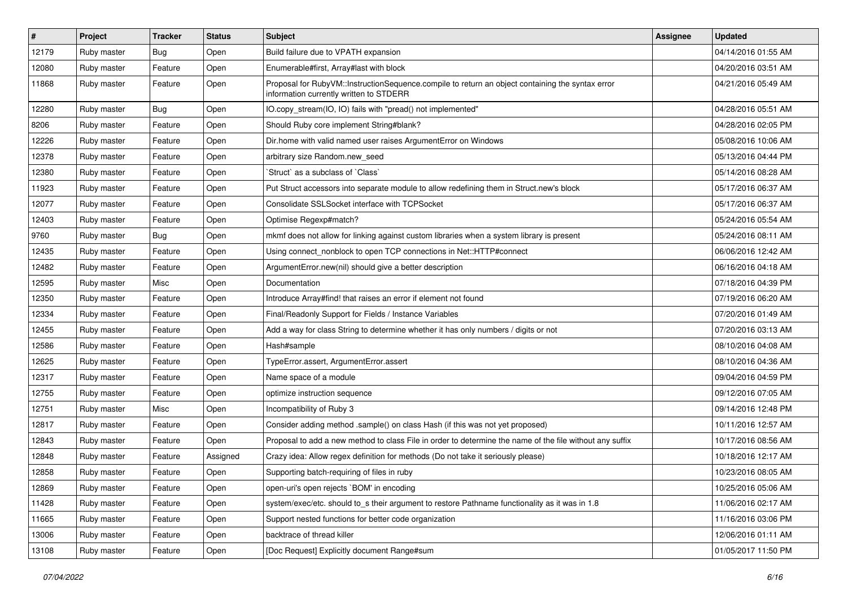| $\vert$ # | Project     | <b>Tracker</b> | <b>Status</b> | Subject                                                                                                                                     | <b>Assignee</b> | <b>Updated</b>      |
|-----------|-------------|----------------|---------------|---------------------------------------------------------------------------------------------------------------------------------------------|-----------------|---------------------|
| 12179     | Ruby master | <b>Bug</b>     | Open          | Build failure due to VPATH expansion                                                                                                        |                 | 04/14/2016 01:55 AM |
| 12080     | Ruby master | Feature        | Open          | Enumerable#first, Array#last with block                                                                                                     |                 | 04/20/2016 03:51 AM |
| 11868     | Ruby master | Feature        | Open          | Proposal for RubyVM::InstructionSequence.compile to return an object containing the syntax error<br>information currently written to STDERR |                 | 04/21/2016 05:49 AM |
| 12280     | Ruby master | Bug            | Open          | IO.copy_stream(IO, IO) fails with "pread() not implemented"                                                                                 |                 | 04/28/2016 05:51 AM |
| 8206      | Ruby master | Feature        | Open          | Should Ruby core implement String#blank?                                                                                                    |                 | 04/28/2016 02:05 PM |
| 12226     | Ruby master | Feature        | Open          | Dir.home with valid named user raises ArgumentError on Windows                                                                              |                 | 05/08/2016 10:06 AM |
| 12378     | Ruby master | Feature        | Open          | arbitrary size Random.new seed                                                                                                              |                 | 05/13/2016 04:44 PM |
| 12380     | Ruby master | Feature        | Open          | 'Struct' as a subclass of 'Class'                                                                                                           |                 | 05/14/2016 08:28 AM |
| 11923     | Ruby master | Feature        | Open          | Put Struct accessors into separate module to allow redefining them in Struct.new's block                                                    |                 | 05/17/2016 06:37 AM |
| 12077     | Ruby master | Feature        | Open          | Consolidate SSLSocket interface with TCPSocket                                                                                              |                 | 05/17/2016 06:37 AM |
| 12403     | Ruby master | Feature        | Open          | Optimise Regexp#match?                                                                                                                      |                 | 05/24/2016 05:54 AM |
| 9760      | Ruby master | <b>Bug</b>     | Open          | mkmf does not allow for linking against custom libraries when a system library is present                                                   |                 | 05/24/2016 08:11 AM |
| 12435     | Ruby master | Feature        | Open          | Using connect_nonblock to open TCP connections in Net::HTTP#connect                                                                         |                 | 06/06/2016 12:42 AM |
| 12482     | Ruby master | Feature        | Open          | ArgumentError.new(nil) should give a better description                                                                                     |                 | 06/16/2016 04:18 AM |
| 12595     | Ruby master | Misc           | Open          | Documentation                                                                                                                               |                 | 07/18/2016 04:39 PM |
| 12350     | Ruby master | Feature        | Open          | Introduce Array#find! that raises an error if element not found                                                                             |                 | 07/19/2016 06:20 AM |
| 12334     | Ruby master | Feature        | Open          | Final/Readonly Support for Fields / Instance Variables                                                                                      |                 | 07/20/2016 01:49 AM |
| 12455     | Ruby master | Feature        | Open          | Add a way for class String to determine whether it has only numbers / digits or not                                                         |                 | 07/20/2016 03:13 AM |
| 12586     | Ruby master | Feature        | Open          | Hash#sample                                                                                                                                 |                 | 08/10/2016 04:08 AM |
| 12625     | Ruby master | Feature        | Open          | TypeError.assert, ArgumentError.assert                                                                                                      |                 | 08/10/2016 04:36 AM |
| 12317     | Ruby master | Feature        | Open          | Name space of a module                                                                                                                      |                 | 09/04/2016 04:59 PM |
| 12755     | Ruby master | Feature        | Open          | optimize instruction sequence                                                                                                               |                 | 09/12/2016 07:05 AM |
| 12751     | Ruby master | Misc           | Open          | Incompatibility of Ruby 3                                                                                                                   |                 | 09/14/2016 12:48 PM |
| 12817     | Ruby master | Feature        | Open          | Consider adding method .sample() on class Hash (if this was not yet proposed)                                                               |                 | 10/11/2016 12:57 AM |
| 12843     | Ruby master | Feature        | Open          | Proposal to add a new method to class File in order to determine the name of the file without any suffix                                    |                 | 10/17/2016 08:56 AM |
| 12848     | Ruby master | Feature        | Assigned      | Crazy idea: Allow regex definition for methods (Do not take it seriously please)                                                            |                 | 10/18/2016 12:17 AM |
| 12858     | Ruby master | Feature        | Open          | Supporting batch-requiring of files in ruby                                                                                                 |                 | 10/23/2016 08:05 AM |
| 12869     | Ruby master | Feature        | Open          | open-uri's open rejects `BOM' in encoding                                                                                                   |                 | 10/25/2016 05:06 AM |
| 11428     | Ruby master | Feature        | Open          | system/exec/etc. should to_s their argument to restore Pathname functionality as it was in 1.8                                              |                 | 11/06/2016 02:17 AM |
| 11665     | Ruby master | Feature        | Open          | Support nested functions for better code organization                                                                                       |                 | 11/16/2016 03:06 PM |
| 13006     | Ruby master | Feature        | Open          | backtrace of thread killer                                                                                                                  |                 | 12/06/2016 01:11 AM |
| 13108     | Ruby master | Feature        | Open          | [Doc Request] Explicitly document Range#sum                                                                                                 |                 | 01/05/2017 11:50 PM |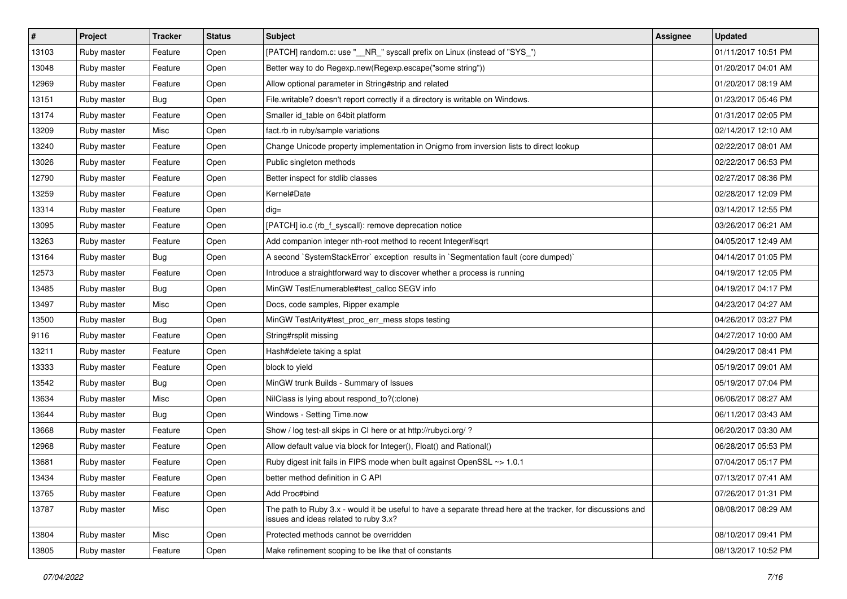| $\vert$ # | Project     | <b>Tracker</b> | <b>Status</b> | <b>Subject</b>                                                                                                                                        | <b>Assignee</b> | <b>Updated</b>      |
|-----------|-------------|----------------|---------------|-------------------------------------------------------------------------------------------------------------------------------------------------------|-----------------|---------------------|
| 13103     | Ruby master | Feature        | Open          | [PATCH] random.c: use "__NR_" syscall prefix on Linux (instead of "SYS_")                                                                             |                 | 01/11/2017 10:51 PM |
| 13048     | Ruby master | Feature        | Open          | Better way to do Regexp.new(Regexp.escape("some string"))                                                                                             |                 | 01/20/2017 04:01 AM |
| 12969     | Ruby master | Feature        | Open          | Allow optional parameter in String#strip and related                                                                                                  |                 | 01/20/2017 08:19 AM |
| 13151     | Ruby master | Bug            | Open          | File.writable? doesn't report correctly if a directory is writable on Windows.                                                                        |                 | 01/23/2017 05:46 PM |
| 13174     | Ruby master | Feature        | Open          | Smaller id_table on 64bit platform                                                                                                                    |                 | 01/31/2017 02:05 PM |
| 13209     | Ruby master | Misc           | Open          | fact.rb in ruby/sample variations                                                                                                                     |                 | 02/14/2017 12:10 AM |
| 13240     | Ruby master | Feature        | Open          | Change Unicode property implementation in Onigmo from inversion lists to direct lookup                                                                |                 | 02/22/2017 08:01 AM |
| 13026     | Ruby master | Feature        | Open          | Public singleton methods                                                                                                                              |                 | 02/22/2017 06:53 PM |
| 12790     | Ruby master | Feature        | Open          | Better inspect for stdlib classes                                                                                                                     |                 | 02/27/2017 08:36 PM |
| 13259     | Ruby master | Feature        | Open          | Kernel#Date                                                                                                                                           |                 | 02/28/2017 12:09 PM |
| 13314     | Ruby master | Feature        | Open          | $dig =$                                                                                                                                               |                 | 03/14/2017 12:55 PM |
| 13095     | Ruby master | Feature        | Open          | [PATCH] io.c (rb_f_syscall): remove deprecation notice                                                                                                |                 | 03/26/2017 06:21 AM |
| 13263     | Ruby master | Feature        | Open          | Add companion integer nth-root method to recent Integer#isqrt                                                                                         |                 | 04/05/2017 12:49 AM |
| 13164     | Ruby master | <b>Bug</b>     | Open          | A second `SystemStackError` exception results in `Segmentation fault (core dumped)`                                                                   |                 | 04/14/2017 01:05 PM |
| 12573     | Ruby master | Feature        | Open          | Introduce a straightforward way to discover whether a process is running                                                                              |                 | 04/19/2017 12:05 PM |
| 13485     | Ruby master | Bug            | Open          | MinGW TestEnumerable#test_callcc SEGV info                                                                                                            |                 | 04/19/2017 04:17 PM |
| 13497     | Ruby master | Misc           | Open          | Docs, code samples, Ripper example                                                                                                                    |                 | 04/23/2017 04:27 AM |
| 13500     | Ruby master | <b>Bug</b>     | Open          | MinGW TestArity#test_proc_err_mess stops testing                                                                                                      |                 | 04/26/2017 03:27 PM |
| 9116      | Ruby master | Feature        | Open          | String#rsplit missing                                                                                                                                 |                 | 04/27/2017 10:00 AM |
| 13211     | Ruby master | Feature        | Open          | Hash#delete taking a splat                                                                                                                            |                 | 04/29/2017 08:41 PM |
| 13333     | Ruby master | Feature        | Open          | block to yield                                                                                                                                        |                 | 05/19/2017 09:01 AM |
| 13542     | Ruby master | <b>Bug</b>     | Open          | MinGW trunk Builds - Summary of Issues                                                                                                                |                 | 05/19/2017 07:04 PM |
| 13634     | Ruby master | Misc           | Open          | NilClass is lying about respond_to?(:clone)                                                                                                           |                 | 06/06/2017 08:27 AM |
| 13644     | Ruby master | <b>Bug</b>     | Open          | Windows - Setting Time.now                                                                                                                            |                 | 06/11/2017 03:43 AM |
| 13668     | Ruby master | Feature        | Open          | Show / log test-all skips in CI here or at http://rubyci.org/?                                                                                        |                 | 06/20/2017 03:30 AM |
| 12968     | Ruby master | Feature        | Open          | Allow default value via block for Integer(), Float() and Rational()                                                                                   |                 | 06/28/2017 05:53 PM |
| 13681     | Ruby master | Feature        | Open          | Ruby digest init fails in FIPS mode when built against OpenSSL ~> 1.0.1                                                                               |                 | 07/04/2017 05:17 PM |
| 13434     | Ruby master | Feature        | Open          | better method definition in C API                                                                                                                     |                 | 07/13/2017 07:41 AM |
| 13765     | Ruby master | Feature        | Open          | Add Proc#bind                                                                                                                                         |                 | 07/26/2017 01:31 PM |
| 13787     | Ruby master | Misc           | Open          | The path to Ruby 3.x - would it be useful to have a separate thread here at the tracker, for discussions and<br>issues and ideas related to ruby 3.x? |                 | 08/08/2017 08:29 AM |
| 13804     | Ruby master | Misc           | Open          | Protected methods cannot be overridden                                                                                                                |                 | 08/10/2017 09:41 PM |
| 13805     | Ruby master | Feature        | Open          | Make refinement scoping to be like that of constants                                                                                                  |                 | 08/13/2017 10:52 PM |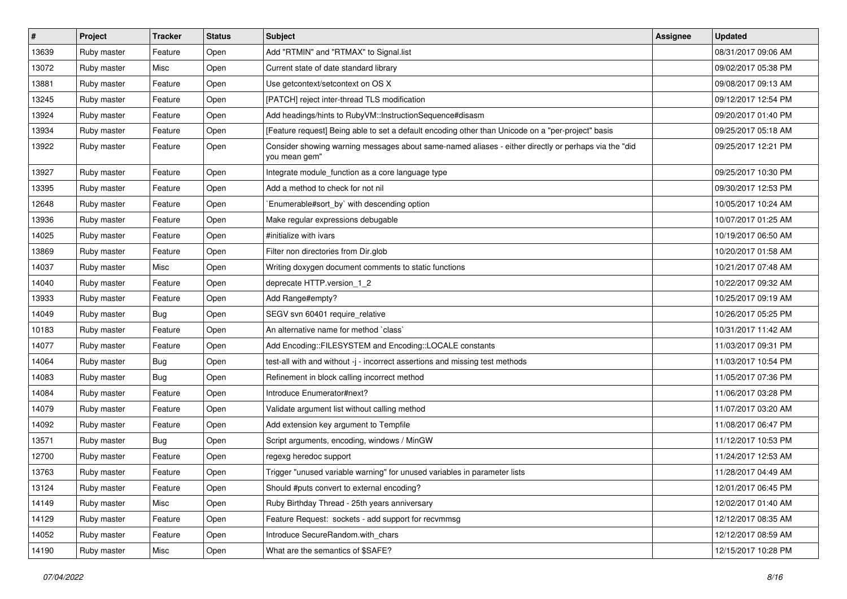| #     | Project     | <b>Tracker</b> | <b>Status</b> | Subject                                                                                                               | <b>Assignee</b> | <b>Updated</b>      |
|-------|-------------|----------------|---------------|-----------------------------------------------------------------------------------------------------------------------|-----------------|---------------------|
| 13639 | Ruby master | Feature        | Open          | Add "RTMIN" and "RTMAX" to Signal.list                                                                                |                 | 08/31/2017 09:06 AM |
| 13072 | Ruby master | Misc           | Open          | Current state of date standard library                                                                                |                 | 09/02/2017 05:38 PM |
| 13881 | Ruby master | Feature        | Open          | Use getcontext/setcontext on OS X                                                                                     |                 | 09/08/2017 09:13 AM |
| 13245 | Ruby master | Feature        | Open          | [PATCH] reject inter-thread TLS modification                                                                          |                 | 09/12/2017 12:54 PM |
| 13924 | Ruby master | Feature        | Open          | Add headings/hints to RubyVM::InstructionSequence#disasm                                                              |                 | 09/20/2017 01:40 PM |
| 13934 | Ruby master | Feature        | Open          | [Feature request] Being able to set a default encoding other than Unicode on a "per-project" basis                    |                 | 09/25/2017 05:18 AM |
| 13922 | Ruby master | Feature        | Open          | Consider showing warning messages about same-named aliases - either directly or perhaps via the "did<br>you mean gem" |                 | 09/25/2017 12:21 PM |
| 13927 | Ruby master | Feature        | Open          | Integrate module_function as a core language type                                                                     |                 | 09/25/2017 10:30 PM |
| 13395 | Ruby master | Feature        | Open          | Add a method to check for not nil                                                                                     |                 | 09/30/2017 12:53 PM |
| 12648 | Ruby master | Feature        | Open          | Enumerable#sort_by` with descending option                                                                            |                 | 10/05/2017 10:24 AM |
| 13936 | Ruby master | Feature        | Open          | Make regular expressions debugable                                                                                    |                 | 10/07/2017 01:25 AM |
| 14025 | Ruby master | Feature        | Open          | #initialize with ivars                                                                                                |                 | 10/19/2017 06:50 AM |
| 13869 | Ruby master | Feature        | Open          | Filter non directories from Dir.glob                                                                                  |                 | 10/20/2017 01:58 AM |
| 14037 | Ruby master | Misc           | Open          | Writing doxygen document comments to static functions                                                                 |                 | 10/21/2017 07:48 AM |
| 14040 | Ruby master | Feature        | Open          | deprecate HTTP.version_1_2                                                                                            |                 | 10/22/2017 09:32 AM |
| 13933 | Ruby master | Feature        | Open          | Add Range#empty?                                                                                                      |                 | 10/25/2017 09:19 AM |
| 14049 | Ruby master | <b>Bug</b>     | Open          | SEGV svn 60401 require_relative                                                                                       |                 | 10/26/2017 05:25 PM |
| 10183 | Ruby master | Feature        | Open          | An alternative name for method `class`                                                                                |                 | 10/31/2017 11:42 AM |
| 14077 | Ruby master | Feature        | Open          | Add Encoding::FILESYSTEM and Encoding::LOCALE constants                                                               |                 | 11/03/2017 09:31 PM |
| 14064 | Ruby master | Bug            | Open          | test-all with and without -j - incorrect assertions and missing test methods                                          |                 | 11/03/2017 10:54 PM |
| 14083 | Ruby master | <b>Bug</b>     | Open          | Refinement in block calling incorrect method                                                                          |                 | 11/05/2017 07:36 PM |
| 14084 | Ruby master | Feature        | Open          | Introduce Enumerator#next?                                                                                            |                 | 11/06/2017 03:28 PM |
| 14079 | Ruby master | Feature        | Open          | Validate argument list without calling method                                                                         |                 | 11/07/2017 03:20 AM |
| 14092 | Ruby master | Feature        | Open          | Add extension key argument to Tempfile                                                                                |                 | 11/08/2017 06:47 PM |
| 13571 | Ruby master | <b>Bug</b>     | Open          | Script arguments, encoding, windows / MinGW                                                                           |                 | 11/12/2017 10:53 PM |
| 12700 | Ruby master | Feature        | Open          | regexg heredoc support                                                                                                |                 | 11/24/2017 12:53 AM |
| 13763 | Ruby master | Feature        | Open          | Trigger "unused variable warning" for unused variables in parameter lists                                             |                 | 11/28/2017 04:49 AM |
| 13124 | Ruby master | Feature        | Open          | Should #puts convert to external encoding?                                                                            |                 | 12/01/2017 06:45 PM |
| 14149 | Ruby master | Misc           | Open          | Ruby Birthday Thread - 25th years anniversary                                                                         |                 | 12/02/2017 01:40 AM |
| 14129 | Ruby master | Feature        | Open          | Feature Request: sockets - add support for recvmmsg                                                                   |                 | 12/12/2017 08:35 AM |
| 14052 | Ruby master | Feature        | Open          | Introduce SecureRandom.with chars                                                                                     |                 | 12/12/2017 08:59 AM |
| 14190 | Ruby master | Misc           | Open          | What are the semantics of \$SAFE?                                                                                     |                 | 12/15/2017 10:28 PM |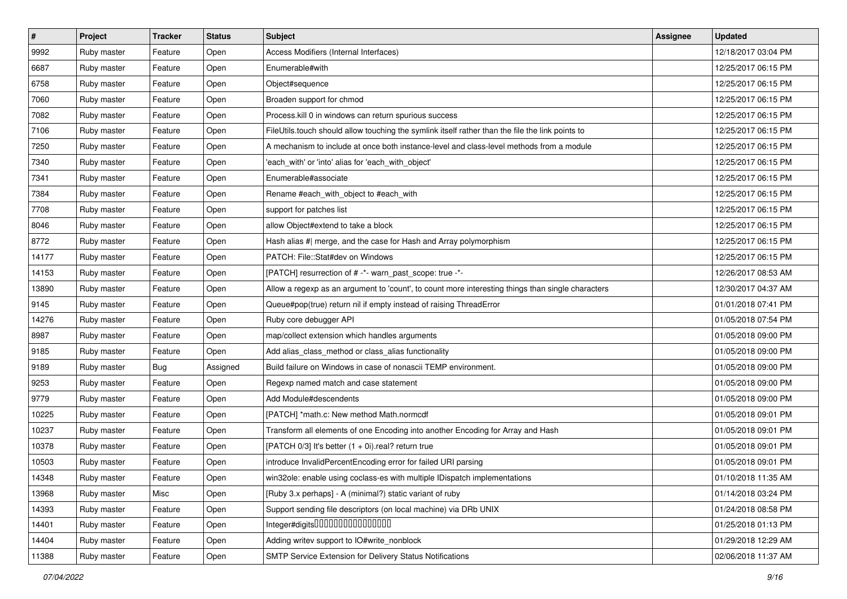| $\vert$ # | Project     | <b>Tracker</b> | <b>Status</b> | Subject                                                                                           | <b>Assignee</b> | <b>Updated</b>      |
|-----------|-------------|----------------|---------------|---------------------------------------------------------------------------------------------------|-----------------|---------------------|
| 9992      | Ruby master | Feature        | Open          | Access Modifiers (Internal Interfaces)                                                            |                 | 12/18/2017 03:04 PM |
| 6687      | Ruby master | Feature        | Open          | Enumerable#with                                                                                   |                 | 12/25/2017 06:15 PM |
| 6758      | Ruby master | Feature        | Open          | Object#sequence                                                                                   |                 | 12/25/2017 06:15 PM |
| 7060      | Ruby master | Feature        | Open          | Broaden support for chmod                                                                         |                 | 12/25/2017 06:15 PM |
| 7082      | Ruby master | Feature        | Open          | Process.kill 0 in windows can return spurious success                                             |                 | 12/25/2017 06:15 PM |
| 7106      | Ruby master | Feature        | Open          | FileUtils.touch should allow touching the symlink itself rather than the file the link points to  |                 | 12/25/2017 06:15 PM |
| 7250      | Ruby master | Feature        | Open          | A mechanism to include at once both instance-level and class-level methods from a module          |                 | 12/25/2017 06:15 PM |
| 7340      | Ruby master | Feature        | Open          | 'each_with' or 'into' alias for 'each_with_object'                                                |                 | 12/25/2017 06:15 PM |
| 7341      | Ruby master | Feature        | Open          | Enumerable#associate                                                                              |                 | 12/25/2017 06:15 PM |
| 7384      | Ruby master | Feature        | Open          | Rename #each_with_object to #each_with                                                            |                 | 12/25/2017 06:15 PM |
| 7708      | Ruby master | Feature        | Open          | support for patches list                                                                          |                 | 12/25/2017 06:15 PM |
| 8046      | Ruby master | Feature        | Open          | allow Object#extend to take a block                                                               |                 | 12/25/2017 06:15 PM |
| 8772      | Ruby master | Feature        | Open          | Hash alias #  merge, and the case for Hash and Array polymorphism                                 |                 | 12/25/2017 06:15 PM |
| 14177     | Ruby master | Feature        | Open          | PATCH: File::Stat#dev on Windows                                                                  |                 | 12/25/2017 06:15 PM |
| 14153     | Ruby master | Feature        | Open          | [PATCH] resurrection of # -*- warn_past_scope: true -*-                                           |                 | 12/26/2017 08:53 AM |
| 13890     | Ruby master | Feature        | Open          | Allow a regexp as an argument to 'count', to count more interesting things than single characters |                 | 12/30/2017 04:37 AM |
| 9145      | Ruby master | Feature        | Open          | Queue#pop(true) return nil if empty instead of raising ThreadError                                |                 | 01/01/2018 07:41 PM |
| 14276     | Ruby master | Feature        | Open          | Ruby core debugger API                                                                            |                 | 01/05/2018 07:54 PM |
| 8987      | Ruby master | Feature        | Open          | map/collect extension which handles arguments                                                     |                 | 01/05/2018 09:00 PM |
| 9185      | Ruby master | Feature        | Open          | Add alias_class_method or class_alias functionality                                               |                 | 01/05/2018 09:00 PM |
| 9189      | Ruby master | Bug            | Assigned      | Build failure on Windows in case of nonascii TEMP environment.                                    |                 | 01/05/2018 09:00 PM |
| 9253      | Ruby master | Feature        | Open          | Regexp named match and case statement                                                             |                 | 01/05/2018 09:00 PM |
| 9779      | Ruby master | Feature        | Open          | Add Module#descendents                                                                            |                 | 01/05/2018 09:00 PM |
| 10225     | Ruby master | Feature        | Open          | [PATCH] *math.c: New method Math.normcdf                                                          |                 | 01/05/2018 09:01 PM |
| 10237     | Ruby master | Feature        | Open          | Transform all elements of one Encoding into another Encoding for Array and Hash                   |                 | 01/05/2018 09:01 PM |
| 10378     | Ruby master | Feature        | Open          | [PATCH 0/3] It's better $(1 + 0i)$ real? return true                                              |                 | 01/05/2018 09:01 PM |
| 10503     | Ruby master | Feature        | Open          | introduce InvalidPercentEncoding error for failed URI parsing                                     |                 | 01/05/2018 09:01 PM |
| 14348     | Ruby master | Feature        | Open          | win32ole: enable using coclass-es with multiple IDispatch implementations                         |                 | 01/10/2018 11:35 AM |
| 13968     | Ruby master | Misc           | Open          | [Ruby 3.x perhaps] - A (minimal?) static variant of ruby                                          |                 | 01/14/2018 03:24 PM |
| 14393     | Ruby master | Feature        | Open          | Support sending file descriptors (on local machine) via DRb UNIX                                  |                 | 01/24/2018 08:58 PM |
| 14401     | Ruby master | Feature        | Open          | Integer#digits000000000000000                                                                     |                 | 01/25/2018 01:13 PM |
| 14404     | Ruby master | Feature        | Open          | Adding writev support to IO#write_nonblock                                                        |                 | 01/29/2018 12:29 AM |
| 11388     | Ruby master | Feature        | Open          | SMTP Service Extension for Delivery Status Notifications                                          |                 | 02/06/2018 11:37 AM |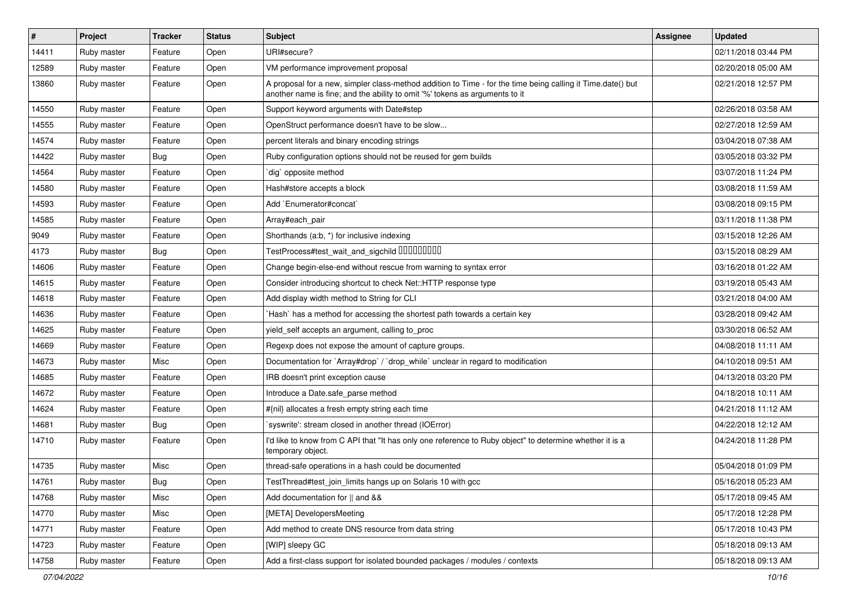| $\vert$ # | Project     | <b>Tracker</b> | <b>Status</b> | Subject                                                                                                                                                                                    | <b>Assignee</b> | <b>Updated</b>      |
|-----------|-------------|----------------|---------------|--------------------------------------------------------------------------------------------------------------------------------------------------------------------------------------------|-----------------|---------------------|
| 14411     | Ruby master | Feature        | Open          | URI#secure?                                                                                                                                                                                |                 | 02/11/2018 03:44 PM |
| 12589     | Ruby master | Feature        | Open          | VM performance improvement proposal                                                                                                                                                        |                 | 02/20/2018 05:00 AM |
| 13860     | Ruby master | Feature        | Open          | A proposal for a new, simpler class-method addition to Time - for the time being calling it Time.date() but<br>another name is fine; and the ability to omit '%' tokens as arguments to it |                 | 02/21/2018 12:57 PM |
| 14550     | Ruby master | Feature        | Open          | Support keyword arguments with Date#step                                                                                                                                                   |                 | 02/26/2018 03:58 AM |
| 14555     | Ruby master | Feature        | Open          | OpenStruct performance doesn't have to be slow                                                                                                                                             |                 | 02/27/2018 12:59 AM |
| 14574     | Ruby master | Feature        | Open          | percent literals and binary encoding strings                                                                                                                                               |                 | 03/04/2018 07:38 AM |
| 14422     | Ruby master | <b>Bug</b>     | Open          | Ruby configuration options should not be reused for gem builds                                                                                                                             |                 | 03/05/2018 03:32 PM |
| 14564     | Ruby master | Feature        | Open          | dig opposite method                                                                                                                                                                        |                 | 03/07/2018 11:24 PM |
| 14580     | Ruby master | Feature        | Open          | Hash#store accepts a block                                                                                                                                                                 |                 | 03/08/2018 11:59 AM |
| 14593     | Ruby master | Feature        | Open          | Add `Enumerator#concat`                                                                                                                                                                    |                 | 03/08/2018 09:15 PM |
| 14585     | Ruby master | Feature        | Open          | Array#each_pair                                                                                                                                                                            |                 | 03/11/2018 11:38 PM |
| 9049      | Ruby master | Feature        | Open          | Shorthands (a:b, *) for inclusive indexing                                                                                                                                                 |                 | 03/15/2018 12:26 AM |
| 4173      | Ruby master | <b>Bug</b>     | Open          |                                                                                                                                                                                            |                 | 03/15/2018 08:29 AM |
| 14606     | Ruby master | Feature        | Open          | Change begin-else-end without rescue from warning to syntax error                                                                                                                          |                 | 03/16/2018 01:22 AM |
| 14615     | Ruby master | Feature        | Open          | Consider introducing shortcut to check Net::HTTP response type                                                                                                                             |                 | 03/19/2018 05:43 AM |
| 14618     | Ruby master | Feature        | Open          | Add display width method to String for CLI                                                                                                                                                 |                 | 03/21/2018 04:00 AM |
| 14636     | Ruby master | Feature        | Open          | `Hash` has a method for accessing the shortest path towards a certain key                                                                                                                  |                 | 03/28/2018 09:42 AM |
| 14625     | Ruby master | Feature        | Open          | yield_self accepts an argument, calling to_proc                                                                                                                                            |                 | 03/30/2018 06:52 AM |
| 14669     | Ruby master | Feature        | Open          | Regexp does not expose the amount of capture groups.                                                                                                                                       |                 | 04/08/2018 11:11 AM |
| 14673     | Ruby master | Misc           | Open          | Documentation for `Array#drop` / `drop_while` unclear in regard to modification                                                                                                            |                 | 04/10/2018 09:51 AM |
| 14685     | Ruby master | Feature        | Open          | IRB doesn't print exception cause                                                                                                                                                          |                 | 04/13/2018 03:20 PM |
| 14672     | Ruby master | Feature        | Open          | Introduce a Date.safe_parse method                                                                                                                                                         |                 | 04/18/2018 10:11 AM |
| 14624     | Ruby master | Feature        | Open          | #{nil} allocates a fresh empty string each time                                                                                                                                            |                 | 04/21/2018 11:12 AM |
| 14681     | Ruby master | Bug            | Open          | 'syswrite': stream closed in another thread (IOError)                                                                                                                                      |                 | 04/22/2018 12:12 AM |
| 14710     | Ruby master | Feature        | Open          | I'd like to know from C API that "It has only one reference to Ruby object" to determine whether it is a<br>temporary object.                                                              |                 | 04/24/2018 11:28 PM |
| 14735     | Ruby master | Misc           | Open          | thread-safe operations in a hash could be documented                                                                                                                                       |                 | 05/04/2018 01:09 PM |
| 14761     | Ruby master | Bug            | Open          | TestThread#test_join_limits hangs up on Solaris 10 with gcc                                                                                                                                |                 | 05/16/2018 05:23 AM |
| 14768     | Ruby master | Misc           | Open          | Add documentation for    and &&                                                                                                                                                            |                 | 05/17/2018 09:45 AM |
| 14770     | Ruby master | Misc           | Open          | [META] DevelopersMeeting                                                                                                                                                                   |                 | 05/17/2018 12:28 PM |
| 14771     | Ruby master | Feature        | Open          | Add method to create DNS resource from data string                                                                                                                                         |                 | 05/17/2018 10:43 PM |
| 14723     | Ruby master | Feature        | Open          | [WIP] sleepy GC                                                                                                                                                                            |                 | 05/18/2018 09:13 AM |
| 14758     | Ruby master | Feature        | Open          | Add a first-class support for isolated bounded packages / modules / contexts                                                                                                               |                 | 05/18/2018 09:13 AM |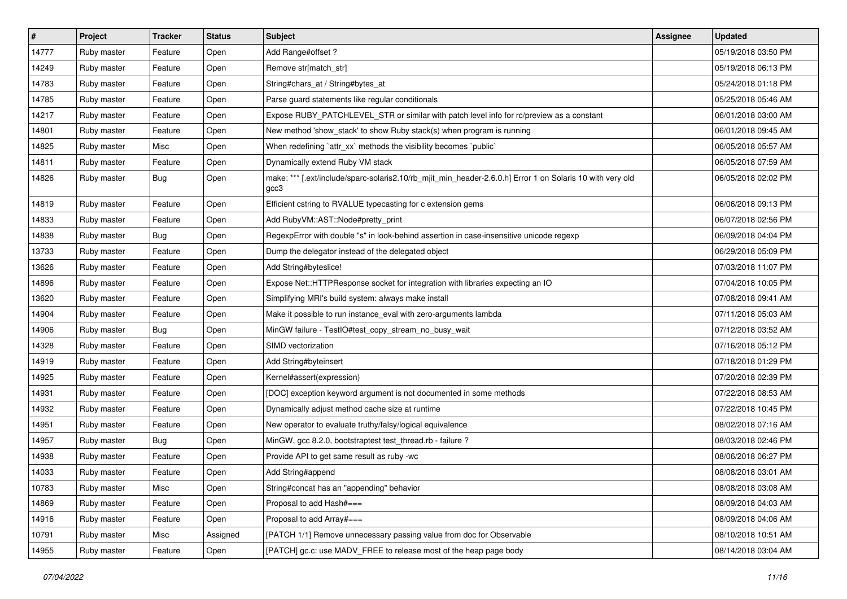| $\sharp$ | Project     | <b>Tracker</b> | <b>Status</b> | Subject                                                                                                           | Assignee | <b>Updated</b>      |
|----------|-------------|----------------|---------------|-------------------------------------------------------------------------------------------------------------------|----------|---------------------|
| 14777    | Ruby master | Feature        | Open          | Add Range#offset?                                                                                                 |          | 05/19/2018 03:50 PM |
| 14249    | Ruby master | Feature        | Open          | Remove str[match_str]                                                                                             |          | 05/19/2018 06:13 PM |
| 14783    | Ruby master | Feature        | Open          | String#chars_at / String#bytes_at                                                                                 |          | 05/24/2018 01:18 PM |
| 14785    | Ruby master | Feature        | Open          | Parse guard statements like regular conditionals                                                                  |          | 05/25/2018 05:46 AM |
| 14217    | Ruby master | Feature        | Open          | Expose RUBY_PATCHLEVEL_STR or similar with patch level info for rc/preview as a constant                          |          | 06/01/2018 03:00 AM |
| 14801    | Ruby master | Feature        | Open          | New method 'show_stack' to show Ruby stack(s) when program is running                                             |          | 06/01/2018 09:45 AM |
| 14825    | Ruby master | Misc           | Open          | When redefining `attr_xx` methods the visibility becomes `public`                                                 |          | 06/05/2018 05:57 AM |
| 14811    | Ruby master | Feature        | Open          | Dynamically extend Ruby VM stack                                                                                  |          | 06/05/2018 07:59 AM |
| 14826    | Ruby master | Bug            | Open          | make: *** [.ext/include/sparc-solaris2.10/rb_mjit_min_header-2.6.0.h] Error 1 on Solaris 10 with very old<br>gcc3 |          | 06/05/2018 02:02 PM |
| 14819    | Ruby master | Feature        | Open          | Efficient cstring to RVALUE typecasting for c extension gems                                                      |          | 06/06/2018 09:13 PM |
| 14833    | Ruby master | Feature        | Open          | Add RubyVM::AST::Node#pretty_print                                                                                |          | 06/07/2018 02:56 PM |
| 14838    | Ruby master | Bug            | Open          | RegexpError with double "s" in look-behind assertion in case-insensitive unicode regexp                           |          | 06/09/2018 04:04 PM |
| 13733    | Ruby master | Feature        | Open          | Dump the delegator instead of the delegated object                                                                |          | 06/29/2018 05:09 PM |
| 13626    | Ruby master | Feature        | Open          | Add String#byteslice!                                                                                             |          | 07/03/2018 11:07 PM |
| 14896    | Ruby master | Feature        | Open          | Expose Net::HTTPResponse socket for integration with libraries expecting an IO                                    |          | 07/04/2018 10:05 PM |
| 13620    | Ruby master | Feature        | Open          | Simplifying MRI's build system: always make install                                                               |          | 07/08/2018 09:41 AM |
| 14904    | Ruby master | Feature        | Open          | Make it possible to run instance_eval with zero-arguments lambda                                                  |          | 07/11/2018 05:03 AM |
| 14906    | Ruby master | <b>Bug</b>     | Open          | MinGW failure - TestIO#test_copy_stream_no_busy_wait                                                              |          | 07/12/2018 03:52 AM |
| 14328    | Ruby master | Feature        | Open          | SIMD vectorization                                                                                                |          | 07/16/2018 05:12 PM |
| 14919    | Ruby master | Feature        | Open          | Add String#byteinsert                                                                                             |          | 07/18/2018 01:29 PM |
| 14925    | Ruby master | Feature        | Open          | Kernel#assert(expression)                                                                                         |          | 07/20/2018 02:39 PM |
| 14931    | Ruby master | Feature        | Open          | [DOC] exception keyword argument is not documented in some methods                                                |          | 07/22/2018 08:53 AM |
| 14932    | Ruby master | Feature        | Open          | Dynamically adjust method cache size at runtime                                                                   |          | 07/22/2018 10:45 PM |
| 14951    | Ruby master | Feature        | Open          | New operator to evaluate truthy/falsy/logical equivalence                                                         |          | 08/02/2018 07:16 AM |
| 14957    | Ruby master | Bug            | Open          | MinGW, gcc 8.2.0, bootstraptest test_thread.rb - failure ?                                                        |          | 08/03/2018 02:46 PM |
| 14938    | Ruby master | Feature        | Open          | Provide API to get same result as ruby -wc                                                                        |          | 08/06/2018 06:27 PM |
| 14033    | Ruby master | Feature        | Open          | Add String#append                                                                                                 |          | 08/08/2018 03:01 AM |
| 10783    | Ruby master | Misc           | Open          | String#concat has an "appending" behavior                                                                         |          | 08/08/2018 03:08 AM |
| 14869    | Ruby master | Feature        | Open          | Proposal to add Hash#===                                                                                          |          | 08/09/2018 04:03 AM |
| 14916    | Ruby master | Feature        | Open          | Proposal to add Array#===                                                                                         |          | 08/09/2018 04:06 AM |
| 10791    | Ruby master | Misc           | Assigned      | [PATCH 1/1] Remove unnecessary passing value from doc for Observable                                              |          | 08/10/2018 10:51 AM |
| 14955    | Ruby master | Feature        | Open          | [PATCH] gc.c: use MADV_FREE to release most of the heap page body                                                 |          | 08/14/2018 03:04 AM |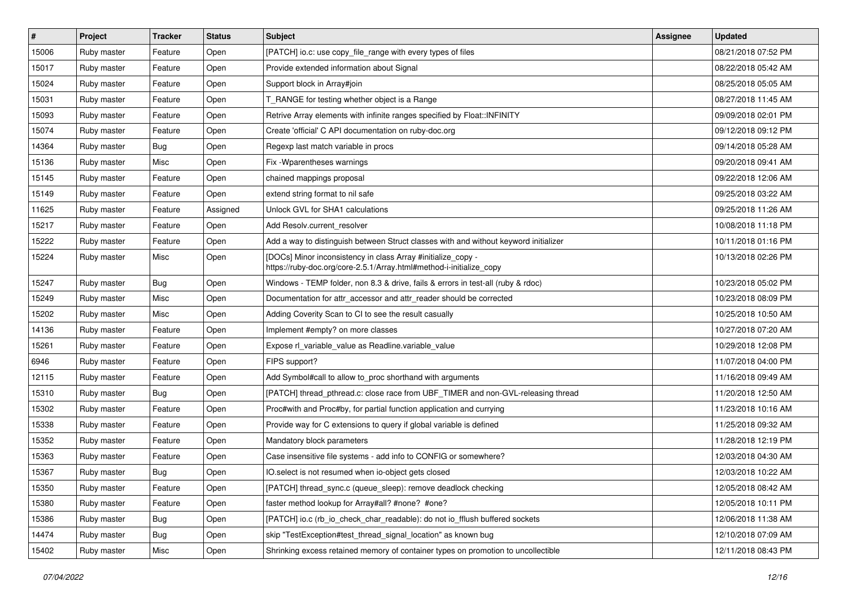| $\vert$ # | Project     | <b>Tracker</b> | <b>Status</b> | Subject                                                                                                                             | Assignee | <b>Updated</b>      |
|-----------|-------------|----------------|---------------|-------------------------------------------------------------------------------------------------------------------------------------|----------|---------------------|
| 15006     | Ruby master | Feature        | Open          | [PATCH] io.c: use copy_file_range with every types of files                                                                         |          | 08/21/2018 07:52 PM |
| 15017     | Ruby master | Feature        | Open          | Provide extended information about Signal                                                                                           |          | 08/22/2018 05:42 AM |
| 15024     | Ruby master | Feature        | Open          | Support block in Array#join                                                                                                         |          | 08/25/2018 05:05 AM |
| 15031     | Ruby master | Feature        | Open          | T_RANGE for testing whether object is a Range                                                                                       |          | 08/27/2018 11:45 AM |
| 15093     | Ruby master | Feature        | Open          | Retrive Array elements with infinite ranges specified by Float::INFINITY                                                            |          | 09/09/2018 02:01 PM |
| 15074     | Ruby master | Feature        | Open          | Create 'official' C API documentation on ruby-doc.org                                                                               |          | 09/12/2018 09:12 PM |
| 14364     | Ruby master | Bug            | Open          | Regexp last match variable in procs                                                                                                 |          | 09/14/2018 05:28 AM |
| 15136     | Ruby master | Misc           | Open          | Fix - Wparentheses warnings                                                                                                         |          | 09/20/2018 09:41 AM |
| 15145     | Ruby master | Feature        | Open          | chained mappings proposal                                                                                                           |          | 09/22/2018 12:06 AM |
| 15149     | Ruby master | Feature        | Open          | extend string format to nil safe                                                                                                    |          | 09/25/2018 03:22 AM |
| 11625     | Ruby master | Feature        | Assigned      | Unlock GVL for SHA1 calculations                                                                                                    |          | 09/25/2018 11:26 AM |
| 15217     | Ruby master | Feature        | Open          | Add Resolv.current resolver                                                                                                         |          | 10/08/2018 11:18 PM |
| 15222     | Ruby master | Feature        | Open          | Add a way to distinguish between Struct classes with and without keyword initializer                                                |          | 10/11/2018 01:16 PM |
| 15224     | Ruby master | Misc           | Open          | [DOCs] Minor inconsistency in class Array #initialize copy -<br>https://ruby-doc.org/core-2.5.1/Array.html#method-i-initialize_copy |          | 10/13/2018 02:26 PM |
| 15247     | Ruby master | Bug            | Open          | Windows - TEMP folder, non 8.3 & drive, fails & errors in test-all (ruby & rdoc)                                                    |          | 10/23/2018 05:02 PM |
| 15249     | Ruby master | Misc           | Open          | Documentation for attr_accessor and attr_reader should be corrected                                                                 |          | 10/23/2018 08:09 PM |
| 15202     | Ruby master | Misc           | Open          | Adding Coverity Scan to CI to see the result casually                                                                               |          | 10/25/2018 10:50 AM |
| 14136     | Ruby master | Feature        | Open          | Implement #empty? on more classes                                                                                                   |          | 10/27/2018 07:20 AM |
| 15261     | Ruby master | Feature        | Open          | Expose rl_variable_value as Readline.variable_value                                                                                 |          | 10/29/2018 12:08 PM |
| 6946      | Ruby master | Feature        | Open          | FIPS support?                                                                                                                       |          | 11/07/2018 04:00 PM |
| 12115     | Ruby master | Feature        | Open          | Add Symbol#call to allow to_proc shorthand with arguments                                                                           |          | 11/16/2018 09:49 AM |
| 15310     | Ruby master | <b>Bug</b>     | Open          | [PATCH] thread_pthread.c: close race from UBF_TIMER and non-GVL-releasing thread                                                    |          | 11/20/2018 12:50 AM |
| 15302     | Ruby master | Feature        | Open          | Proc#with and Proc#by, for partial function application and currying                                                                |          | 11/23/2018 10:16 AM |
| 15338     | Ruby master | Feature        | Open          | Provide way for C extensions to query if global variable is defined                                                                 |          | 11/25/2018 09:32 AM |
| 15352     | Ruby master | Feature        | Open          | Mandatory block parameters                                                                                                          |          | 11/28/2018 12:19 PM |
| 15363     | Ruby master | Feature        | Open          | Case insensitive file systems - add info to CONFIG or somewhere?                                                                    |          | 12/03/2018 04:30 AM |
| 15367     | Ruby master | <b>Bug</b>     | Open          | IO.select is not resumed when io-object gets closed                                                                                 |          | 12/03/2018 10:22 AM |
| 15350     | Ruby master | Feature        | Open          | [PATCH] thread sync.c (queue sleep): remove deadlock checking                                                                       |          | 12/05/2018 08:42 AM |
| 15380     | Ruby master | Feature        | Open          | faster method lookup for Array#all? #none? #one?                                                                                    |          | 12/05/2018 10:11 PM |
| 15386     | Ruby master | <b>Bug</b>     | Open          | [PATCH] io.c (rb_io_check_char_readable): do not io_fflush buffered sockets                                                         |          | 12/06/2018 11:38 AM |
| 14474     | Ruby master | Bug            | Open          | skip "TestException#test_thread_signal_location" as known bug                                                                       |          | 12/10/2018 07:09 AM |
| 15402     | Ruby master | Misc           | Open          | Shrinking excess retained memory of container types on promotion to uncollectible                                                   |          | 12/11/2018 08:43 PM |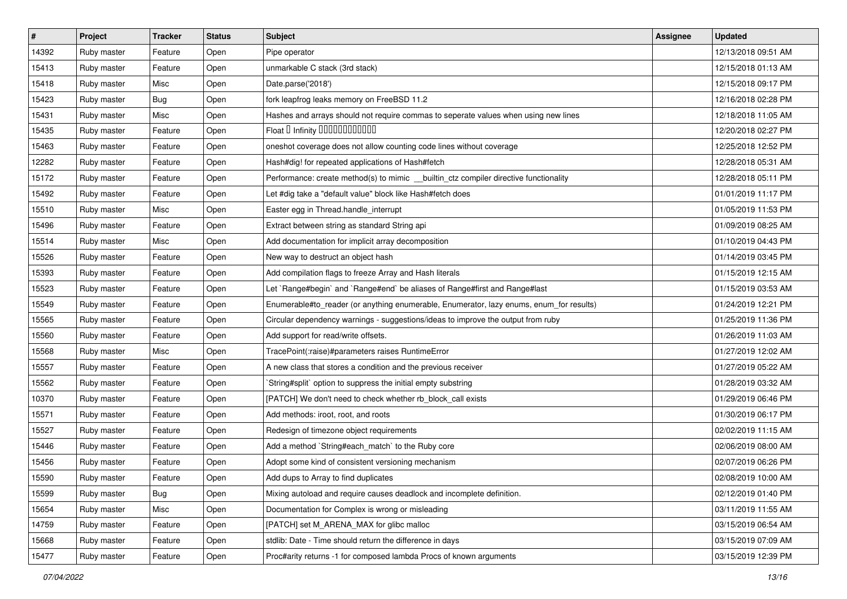| $\vert$ # | Project     | <b>Tracker</b> | <b>Status</b> | Subject                                                                                 | <b>Assignee</b> | <b>Updated</b>      |
|-----------|-------------|----------------|---------------|-----------------------------------------------------------------------------------------|-----------------|---------------------|
| 14392     | Ruby master | Feature        | Open          | Pipe operator                                                                           |                 | 12/13/2018 09:51 AM |
| 15413     | Ruby master | Feature        | Open          | unmarkable C stack (3rd stack)                                                          |                 | 12/15/2018 01:13 AM |
| 15418     | Ruby master | Misc           | Open          | Date.parse('2018')                                                                      |                 | 12/15/2018 09:17 PM |
| 15423     | Ruby master | Bug            | Open          | fork leapfrog leaks memory on FreeBSD 11.2                                              |                 | 12/16/2018 02:28 PM |
| 15431     | Ruby master | Misc           | Open          | Hashes and arrays should not require commas to seperate values when using new lines     |                 | 12/18/2018 11:05 AM |
| 15435     | Ruby master | Feature        | Open          | Float D Infinity 000000000000                                                           |                 | 12/20/2018 02:27 PM |
| 15463     | Ruby master | Feature        | Open          | oneshot coverage does not allow counting code lines without coverage                    |                 | 12/25/2018 12:52 PM |
| 12282     | Ruby master | Feature        | Open          | Hash#dig! for repeated applications of Hash#fetch                                       |                 | 12/28/2018 05:31 AM |
| 15172     | Ruby master | Feature        | Open          | Performance: create method(s) to mimic _builtin_ctz compiler directive functionality    |                 | 12/28/2018 05:11 PM |
| 15492     | Ruby master | Feature        | Open          | Let #dig take a "default value" block like Hash#fetch does                              |                 | 01/01/2019 11:17 PM |
| 15510     | Ruby master | Misc           | Open          | Easter egg in Thread.handle_interrupt                                                   |                 | 01/05/2019 11:53 PM |
| 15496     | Ruby master | Feature        | Open          | Extract between string as standard String api                                           |                 | 01/09/2019 08:25 AM |
| 15514     | Ruby master | Misc           | Open          | Add documentation for implicit array decomposition                                      |                 | 01/10/2019 04:43 PM |
| 15526     | Ruby master | Feature        | Open          | New way to destruct an object hash                                                      |                 | 01/14/2019 03:45 PM |
| 15393     | Ruby master | Feature        | Open          | Add compilation flags to freeze Array and Hash literals                                 |                 | 01/15/2019 12:15 AM |
| 15523     | Ruby master | Feature        | Open          | Let `Range#begin` and `Range#end` be aliases of Range#first and Range#last              |                 | 01/15/2019 03:53 AM |
| 15549     | Ruby master | Feature        | Open          | Enumerable#to_reader (or anything enumerable, Enumerator, lazy enums, enum_for results) |                 | 01/24/2019 12:21 PM |
| 15565     | Ruby master | Feature        | Open          | Circular dependency warnings - suggestions/ideas to improve the output from ruby        |                 | 01/25/2019 11:36 PM |
| 15560     | Ruby master | Feature        | Open          | Add support for read/write offsets.                                                     |                 | 01/26/2019 11:03 AM |
| 15568     | Ruby master | Misc           | Open          | TracePoint(:raise)#parameters raises RuntimeError                                       |                 | 01/27/2019 12:02 AM |
| 15557     | Ruby master | Feature        | Open          | A new class that stores a condition and the previous receiver                           |                 | 01/27/2019 05:22 AM |
| 15562     | Ruby master | Feature        | Open          | String#split` option to suppress the initial empty substring                            |                 | 01/28/2019 03:32 AM |
| 10370     | Ruby master | Feature        | Open          | [PATCH] We don't need to check whether rb_block_call exists                             |                 | 01/29/2019 06:46 PM |
| 15571     | Ruby master | Feature        | Open          | Add methods: iroot, root, and roots                                                     |                 | 01/30/2019 06:17 PM |
| 15527     | Ruby master | Feature        | Open          | Redesign of timezone object requirements                                                |                 | 02/02/2019 11:15 AM |
| 15446     | Ruby master | Feature        | Open          | Add a method `String#each_match` to the Ruby core                                       |                 | 02/06/2019 08:00 AM |
| 15456     | Ruby master | Feature        | Open          | Adopt some kind of consistent versioning mechanism                                      |                 | 02/07/2019 06:26 PM |
| 15590     | Ruby master | Feature        | Open          | Add dups to Array to find duplicates                                                    |                 | 02/08/2019 10:00 AM |
| 15599     | Ruby master | Bug            | Open          | Mixing autoload and require causes deadlock and incomplete definition.                  |                 | 02/12/2019 01:40 PM |
| 15654     | Ruby master | Misc           | Open          | Documentation for Complex is wrong or misleading                                        |                 | 03/11/2019 11:55 AM |
| 14759     | Ruby master | Feature        | Open          | [PATCH] set M_ARENA_MAX for glibc malloc                                                |                 | 03/15/2019 06:54 AM |
| 15668     | Ruby master | Feature        | Open          | stdlib: Date - Time should return the difference in days                                |                 | 03/15/2019 07:09 AM |
| 15477     | Ruby master | Feature        | Open          | Proc#arity returns -1 for composed lambda Procs of known arguments                      |                 | 03/15/2019 12:39 PM |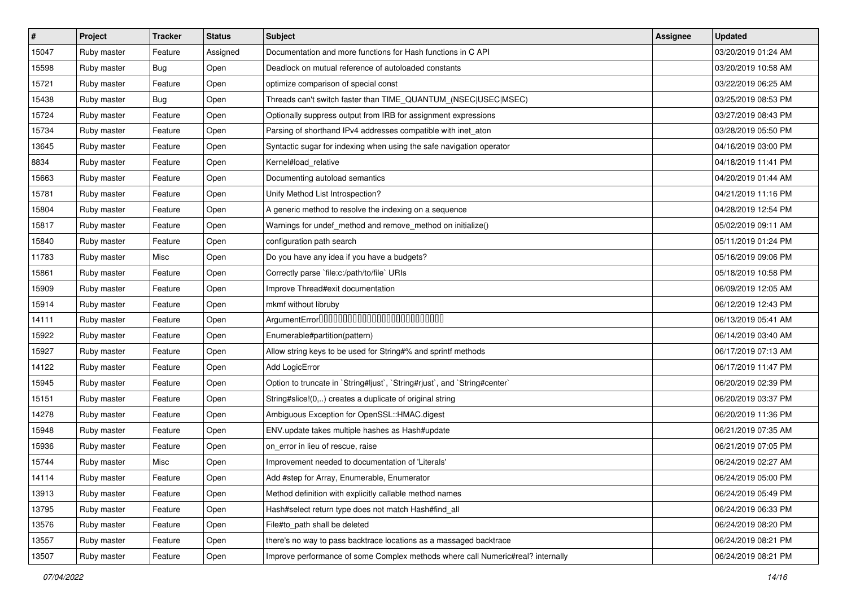| $\vert$ # | Project     | <b>Tracker</b> | <b>Status</b> | Subject                                                                         | <b>Assignee</b> | <b>Updated</b>      |
|-----------|-------------|----------------|---------------|---------------------------------------------------------------------------------|-----------------|---------------------|
| 15047     | Ruby master | Feature        | Assigned      | Documentation and more functions for Hash functions in C API                    |                 | 03/20/2019 01:24 AM |
| 15598     | Ruby master | <b>Bug</b>     | Open          | Deadlock on mutual reference of autoloaded constants                            |                 | 03/20/2019 10:58 AM |
| 15721     | Ruby master | Feature        | Open          | optimize comparison of special const                                            |                 | 03/22/2019 06:25 AM |
| 15438     | Ruby master | Bug            | Open          | Threads can't switch faster than TIME_QUANTUM_(NSEC USEC MSEC)                  |                 | 03/25/2019 08:53 PM |
| 15724     | Ruby master | Feature        | Open          | Optionally suppress output from IRB for assignment expressions                  |                 | 03/27/2019 08:43 PM |
| 15734     | Ruby master | Feature        | Open          | Parsing of shorthand IPv4 addresses compatible with inet_aton                   |                 | 03/28/2019 05:50 PM |
| 13645     | Ruby master | Feature        | Open          | Syntactic sugar for indexing when using the safe navigation operator            |                 | 04/16/2019 03:00 PM |
| 8834      | Ruby master | Feature        | Open          | Kernel#load relative                                                            |                 | 04/18/2019 11:41 PM |
| 15663     | Ruby master | Feature        | Open          | Documenting autoload semantics                                                  |                 | 04/20/2019 01:44 AM |
| 15781     | Ruby master | Feature        | Open          | Unify Method List Introspection?                                                |                 | 04/21/2019 11:16 PM |
| 15804     | Ruby master | Feature        | Open          | A generic method to resolve the indexing on a sequence                          |                 | 04/28/2019 12:54 PM |
| 15817     | Ruby master | Feature        | Open          | Warnings for undef_method and remove_method on initialize()                     |                 | 05/02/2019 09:11 AM |
| 15840     | Ruby master | Feature        | Open          | configuration path search                                                       |                 | 05/11/2019 01:24 PM |
| 11783     | Ruby master | Misc           | Open          | Do you have any idea if you have a budgets?                                     |                 | 05/16/2019 09:06 PM |
| 15861     | Ruby master | Feature        | Open          | Correctly parse `file:c:/path/to/file` URIs                                     |                 | 05/18/2019 10:58 PM |
| 15909     | Ruby master | Feature        | Open          | Improve Thread#exit documentation                                               |                 | 06/09/2019 12:05 AM |
| 15914     | Ruby master | Feature        | Open          | mkmf without libruby                                                            |                 | 06/12/2019 12:43 PM |
| 14111     | Ruby master | Feature        | Open          |                                                                                 |                 | 06/13/2019 05:41 AM |
| 15922     | Ruby master | Feature        | Open          | Enumerable#partition(pattern)                                                   |                 | 06/14/2019 03:40 AM |
| 15927     | Ruby master | Feature        | Open          | Allow string keys to be used for String#% and sprintf methods                   |                 | 06/17/2019 07:13 AM |
| 14122     | Ruby master | Feature        | Open          | Add LogicError                                                                  |                 | 06/17/2019 11:47 PM |
| 15945     | Ruby master | Feature        | Open          | Option to truncate in `String#ljust`, `String#rjust`, and `String#center`       |                 | 06/20/2019 02:39 PM |
| 15151     | Ruby master | Feature        | Open          | String#slice!(0,) creates a duplicate of original string                        |                 | 06/20/2019 03:37 PM |
| 14278     | Ruby master | Feature        | Open          | Ambiguous Exception for OpenSSL::HMAC.digest                                    |                 | 06/20/2019 11:36 PM |
| 15948     | Ruby master | Feature        | Open          | ENV.update takes multiple hashes as Hash#update                                 |                 | 06/21/2019 07:35 AM |
| 15936     | Ruby master | Feature        | Open          | on_error in lieu of rescue, raise                                               |                 | 06/21/2019 07:05 PM |
| 15744     | Ruby master | Misc           | Open          | Improvement needed to documentation of 'Literals'                               |                 | 06/24/2019 02:27 AM |
| 14114     | Ruby master | Feature        | Open          | Add #step for Array, Enumerable, Enumerator                                     |                 | 06/24/2019 05:00 PM |
| 13913     | Ruby master | Feature        | Open          | Method definition with explicitly callable method names                         |                 | 06/24/2019 05:49 PM |
| 13795     | Ruby master | Feature        | Open          | Hash#select return type does not match Hash#find_all                            |                 | 06/24/2019 06:33 PM |
| 13576     | Ruby master | Feature        | Open          | File#to_path shall be deleted                                                   |                 | 06/24/2019 08:20 PM |
| 13557     | Ruby master | Feature        | Open          | there's no way to pass backtrace locations as a massaged backtrace              |                 | 06/24/2019 08:21 PM |
| 13507     | Ruby master | Feature        | Open          | Improve performance of some Complex methods where call Numeric#real? internally |                 | 06/24/2019 08:21 PM |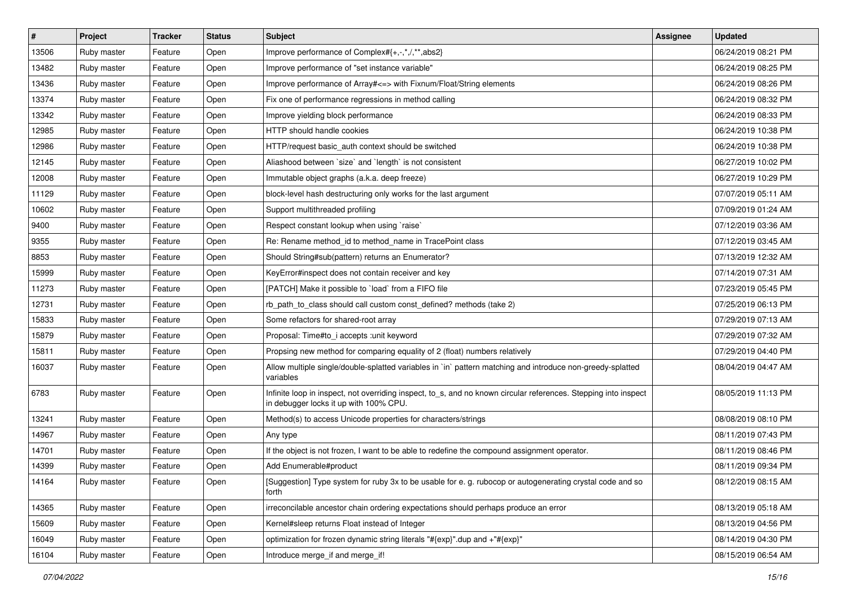| $\sharp$ | Project     | <b>Tracker</b> | <b>Status</b> | <b>Subject</b>                                                                                                                                            | <b>Assignee</b> | <b>Updated</b>      |
|----------|-------------|----------------|---------------|-----------------------------------------------------------------------------------------------------------------------------------------------------------|-----------------|---------------------|
| 13506    | Ruby master | Feature        | Open          | Improve performance of Complex#{+,-,*,/,**,abs2}                                                                                                          |                 | 06/24/2019 08:21 PM |
| 13482    | Ruby master | Feature        | Open          | Improve performance of "set instance variable"                                                                                                            |                 | 06/24/2019 08:25 PM |
| 13436    | Ruby master | Feature        | Open          | Improve performance of Array# <= > with Fixnum/Float/String elements                                                                                      |                 | 06/24/2019 08:26 PM |
| 13374    | Ruby master | Feature        | Open          | Fix one of performance regressions in method calling                                                                                                      |                 | 06/24/2019 08:32 PM |
| 13342    | Ruby master | Feature        | Open          | Improve yielding block performance                                                                                                                        |                 | 06/24/2019 08:33 PM |
| 12985    | Ruby master | Feature        | Open          | <b>HTTP</b> should handle cookies                                                                                                                         |                 | 06/24/2019 10:38 PM |
| 12986    | Ruby master | Feature        | Open          | HTTP/request basic_auth context should be switched                                                                                                        |                 | 06/24/2019 10:38 PM |
| 12145    | Ruby master | Feature        | Open          | Aliashood between 'size' and 'length' is not consistent                                                                                                   |                 | 06/27/2019 10:02 PM |
| 12008    | Ruby master | Feature        | Open          | Immutable object graphs (a.k.a. deep freeze)                                                                                                              |                 | 06/27/2019 10:29 PM |
| 11129    | Ruby master | Feature        | Open          | block-level hash destructuring only works for the last argument                                                                                           |                 | 07/07/2019 05:11 AM |
| 10602    | Ruby master | Feature        | Open          | Support multithreaded profiling                                                                                                                           |                 | 07/09/2019 01:24 AM |
| 9400     | Ruby master | Feature        | Open          | Respect constant lookup when using `raise`                                                                                                                |                 | 07/12/2019 03:36 AM |
| 9355     | Ruby master | Feature        | Open          | Re: Rename method_id to method_name in TracePoint class                                                                                                   |                 | 07/12/2019 03:45 AM |
| 8853     | Ruby master | Feature        | Open          | Should String#sub(pattern) returns an Enumerator?                                                                                                         |                 | 07/13/2019 12:32 AM |
| 15999    | Ruby master | Feature        | Open          | KeyError#inspect does not contain receiver and key                                                                                                        |                 | 07/14/2019 07:31 AM |
| 11273    | Ruby master | Feature        | Open          | [PATCH] Make it possible to 'load' from a FIFO file                                                                                                       |                 | 07/23/2019 05:45 PM |
| 12731    | Ruby master | Feature        | Open          | rb_path_to_class should call custom const_defined? methods (take 2)                                                                                       |                 | 07/25/2019 06:13 PM |
| 15833    | Ruby master | Feature        | Open          | Some refactors for shared-root array                                                                                                                      |                 | 07/29/2019 07:13 AM |
| 15879    | Ruby master | Feature        | Open          | Proposal: Time#to_i accepts :unit keyword                                                                                                                 |                 | 07/29/2019 07:32 AM |
| 15811    | Ruby master | Feature        | Open          | Propsing new method for comparing equality of 2 (float) numbers relatively                                                                                |                 | 07/29/2019 04:40 PM |
| 16037    | Ruby master | Feature        | Open          | Allow multiple single/double-splatted variables in `in` pattern matching and introduce non-greedy-splatted<br>variables                                   |                 | 08/04/2019 04:47 AM |
| 6783     | Ruby master | Feature        | Open          | Infinite loop in inspect, not overriding inspect, to_s, and no known circular references. Stepping into inspect<br>in debugger locks it up with 100% CPU. |                 | 08/05/2019 11:13 PM |
| 13241    | Ruby master | Feature        | Open          | Method(s) to access Unicode properties for characters/strings                                                                                             |                 | 08/08/2019 08:10 PM |
| 14967    | Ruby master | Feature        | Open          | Any type                                                                                                                                                  |                 | 08/11/2019 07:43 PM |
| 14701    | Ruby master | Feature        | Open          | If the object is not frozen, I want to be able to redefine the compound assignment operator.                                                              |                 | 08/11/2019 08:46 PM |
| 14399    | Ruby master | Feature        | Open          | Add Enumerable#product                                                                                                                                    |                 | 08/11/2019 09:34 PM |
| 14164    | Ruby master | Feature        | Open          | [Suggestion] Type system for ruby 3x to be usable for e. g. rubocop or autogenerating crystal code and so<br>forth                                        |                 | 08/12/2019 08:15 AM |
| 14365    | Ruby master | Feature        | Open          | irreconcilable ancestor chain ordering expectations should perhaps produce an error                                                                       |                 | 08/13/2019 05:18 AM |
| 15609    | Ruby master | Feature        | Open          | Kernel#sleep returns Float instead of Integer                                                                                                             |                 | 08/13/2019 04:56 PM |
| 16049    | Ruby master | Feature        | Open          | optimization for frozen dynamic string literals "#{exp}".dup and +"#{exp}"                                                                                |                 | 08/14/2019 04:30 PM |
| 16104    | Ruby master | Feature        | Open          | Introduce merge_if and merge_if!                                                                                                                          |                 | 08/15/2019 06:54 AM |